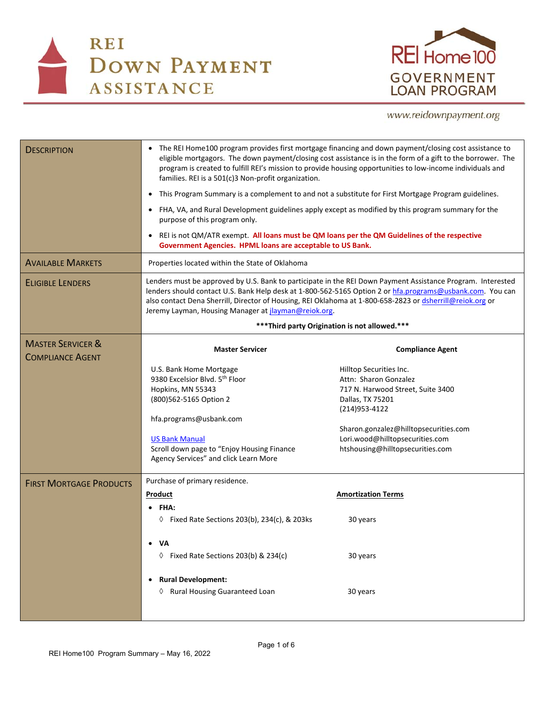



## www.reidownpayment.org

| <b>DESCRIPTION</b>                                      | The REI Home100 program provides first mortgage financing and down payment/closing cost assistance to<br>$\bullet$<br>eligible mortgagors. The down payment/closing cost assistance is in the form of a gift to the borrower. The<br>program is created to fulfill REI's mission to provide housing opportunities to low-income individuals and<br>families. REI is a 501(c)3 Non-profit organization.<br>This Program Summary is a complement to and not a substitute for First Mortgage Program guidelines.<br>$\bullet$<br>FHA, VA, and Rural Development guidelines apply except as modified by this program summary for the<br>٠<br>purpose of this program only.<br>REI is not QM/ATR exempt. All loans must be QM loans per the QM Guidelines of the respective<br>$\bullet$<br>Government Agencies. HPML loans are acceptable to US Bank. |                                                                                                                                                                                                                                             |  |  |
|---------------------------------------------------------|---------------------------------------------------------------------------------------------------------------------------------------------------------------------------------------------------------------------------------------------------------------------------------------------------------------------------------------------------------------------------------------------------------------------------------------------------------------------------------------------------------------------------------------------------------------------------------------------------------------------------------------------------------------------------------------------------------------------------------------------------------------------------------------------------------------------------------------------------|---------------------------------------------------------------------------------------------------------------------------------------------------------------------------------------------------------------------------------------------|--|--|
| <b>AVAILABLE MARKETS</b>                                | Properties located within the State of Oklahoma                                                                                                                                                                                                                                                                                                                                                                                                                                                                                                                                                                                                                                                                                                                                                                                                   |                                                                                                                                                                                                                                             |  |  |
| <b>ELIGIBLE LENDERS</b>                                 | Lenders must be approved by U.S. Bank to participate in the REI Down Payment Assistance Program. Interested<br>lenders should contact U.S. Bank Help desk at 1-800-562-5165 Option 2 or hfa.programs@usbank.com. You can<br>also contact Dena Sherrill, Director of Housing, REI Oklahoma at 1-800-658-2823 or dsherrill@reiok.org or<br>Jeremy Layman, Housing Manager at <i>jlayman@reiok.org</i> .<br>*** Third party Origination is not allowed.***                                                                                                                                                                                                                                                                                                                                                                                           |                                                                                                                                                                                                                                             |  |  |
|                                                         |                                                                                                                                                                                                                                                                                                                                                                                                                                                                                                                                                                                                                                                                                                                                                                                                                                                   |                                                                                                                                                                                                                                             |  |  |
| <b>MASTER SERVICER &amp;</b><br><b>COMPLIANCE AGENT</b> | <b>Master Servicer</b>                                                                                                                                                                                                                                                                                                                                                                                                                                                                                                                                                                                                                                                                                                                                                                                                                            | <b>Compliance Agent</b>                                                                                                                                                                                                                     |  |  |
|                                                         | U.S. Bank Home Mortgage<br>9380 Excelsior Blvd. 5th Floor<br>Hopkins, MN 55343<br>(800)562-5165 Option 2<br>hfa.programs@usbank.com<br><b>US Bank Manual</b><br>Scroll down page to "Enjoy Housing Finance<br>Agency Services" and click Learn More                                                                                                                                                                                                                                                                                                                                                                                                                                                                                                                                                                                               | Hilltop Securities Inc.<br>Attn: Sharon Gonzalez<br>717 N. Harwood Street, Suite 3400<br>Dallas, TX 75201<br>(214) 953-4122<br>Sharon.gonzalez@hilltopsecurities.com<br>Lori.wood@hilltopsecurities.com<br>htshousing@hilltopsecurities.com |  |  |
| <b>FIRST MORTGAGE PRODUCTS</b>                          | Purchase of primary residence.<br>Product<br>FHA:<br>$\Diamond$ Fixed Rate Sections 203(b), 234(c), & 203ks                                                                                                                                                                                                                                                                                                                                                                                                                                                                                                                                                                                                                                                                                                                                       | <b>Amortization Terms</b><br>30 years                                                                                                                                                                                                       |  |  |
|                                                         | VA<br>♦ Fixed Rate Sections 203(b) & 234(c)                                                                                                                                                                                                                                                                                                                                                                                                                                                                                                                                                                                                                                                                                                                                                                                                       | 30 years                                                                                                                                                                                                                                    |  |  |
|                                                         | <b>Rural Development:</b><br>$\bullet$<br>♦ Rural Housing Guaranteed Loan                                                                                                                                                                                                                                                                                                                                                                                                                                                                                                                                                                                                                                                                                                                                                                         | 30 years                                                                                                                                                                                                                                    |  |  |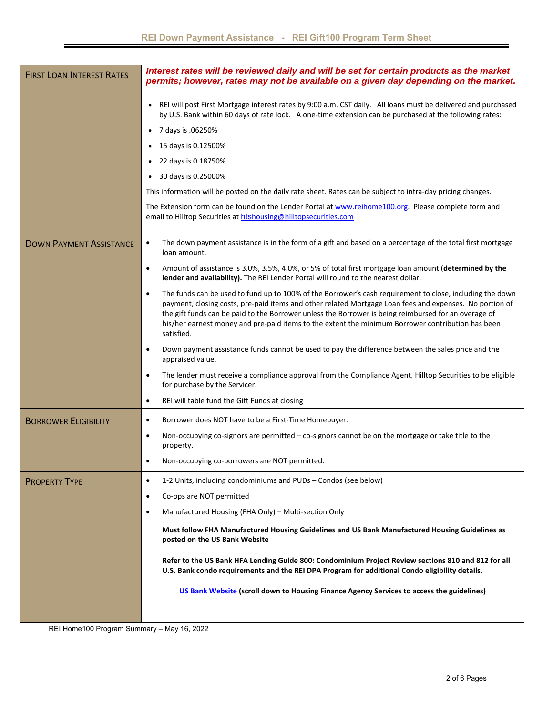| <b>FIRST LOAN INTEREST RATES</b> | Interest rates will be reviewed daily and will be set for certain products as the market<br>permits; however, rates may not be available on a given day depending on the market.                                                                                                                                                                                                                                                                            |  |  |  |  |
|----------------------------------|-------------------------------------------------------------------------------------------------------------------------------------------------------------------------------------------------------------------------------------------------------------------------------------------------------------------------------------------------------------------------------------------------------------------------------------------------------------|--|--|--|--|
|                                  | REI will post First Mortgage interest rates by 9:00 a.m. CST daily. All loans must be delivered and purchased<br>by U.S. Bank within 60 days of rate lock. A one-time extension can be purchased at the following rates:                                                                                                                                                                                                                                    |  |  |  |  |
|                                  | 7 days is .06250%<br>$\bullet$                                                                                                                                                                                                                                                                                                                                                                                                                              |  |  |  |  |
|                                  | 15 days is 0.12500%                                                                                                                                                                                                                                                                                                                                                                                                                                         |  |  |  |  |
|                                  | 22 days is 0.18750%                                                                                                                                                                                                                                                                                                                                                                                                                                         |  |  |  |  |
|                                  | 30 days is 0.25000%                                                                                                                                                                                                                                                                                                                                                                                                                                         |  |  |  |  |
|                                  | This information will be posted on the daily rate sheet. Rates can be subject to intra-day pricing changes.                                                                                                                                                                                                                                                                                                                                                 |  |  |  |  |
|                                  | The Extension form can be found on the Lender Portal at www.reihome100.org. Please complete form and<br>email to Hilltop Securities at htshousing@hilltopsecurities.com                                                                                                                                                                                                                                                                                     |  |  |  |  |
| <b>DOWN PAYMENT ASSISTANCE</b>   | The down payment assistance is in the form of a gift and based on a percentage of the total first mortgage<br>$\bullet$<br>loan amount.                                                                                                                                                                                                                                                                                                                     |  |  |  |  |
|                                  | Amount of assistance is 3.0%, 3.5%, 4.0%, or 5% of total first mortgage loan amount (determined by the<br>$\bullet$<br>lender and availability). The REI Lender Portal will round to the nearest dollar.                                                                                                                                                                                                                                                    |  |  |  |  |
|                                  | The funds can be used to fund up to 100% of the Borrower's cash requirement to close, including the down<br>$\bullet$<br>payment, closing costs, pre-paid items and other related Mortgage Loan fees and expenses. No portion of<br>the gift funds can be paid to the Borrower unless the Borrower is being reimbursed for an overage of<br>his/her earnest money and pre-paid items to the extent the minimum Borrower contribution has been<br>satisfied. |  |  |  |  |
|                                  | Down payment assistance funds cannot be used to pay the difference between the sales price and the<br>$\bullet$<br>appraised value.                                                                                                                                                                                                                                                                                                                         |  |  |  |  |
|                                  | The lender must receive a compliance approval from the Compliance Agent, Hilltop Securities to be eligible<br>$\bullet$<br>for purchase by the Servicer.                                                                                                                                                                                                                                                                                                    |  |  |  |  |
|                                  | REI will table fund the Gift Funds at closing<br>٠                                                                                                                                                                                                                                                                                                                                                                                                          |  |  |  |  |
| <b>BORROWER ELIGIBILITY</b>      | Borrower does NOT have to be a First-Time Homebuyer.<br>$\bullet$                                                                                                                                                                                                                                                                                                                                                                                           |  |  |  |  |
|                                  | Non-occupying co-signors are permitted - co-signors cannot be on the mortgage or take title to the<br>$\bullet$<br>property.                                                                                                                                                                                                                                                                                                                                |  |  |  |  |
|                                  | Non-occupying co-borrowers are NOT permitted.<br>$\bullet$                                                                                                                                                                                                                                                                                                                                                                                                  |  |  |  |  |
| <b>PROPERTY TYPE</b>             | 1-2 Units, including condominiums and PUDs - Condos (see below)<br>٠                                                                                                                                                                                                                                                                                                                                                                                        |  |  |  |  |
|                                  | Co-ops are NOT permitted<br>٠                                                                                                                                                                                                                                                                                                                                                                                                                               |  |  |  |  |
|                                  | Manufactured Housing (FHA Only) - Multi-section Only<br>٠                                                                                                                                                                                                                                                                                                                                                                                                   |  |  |  |  |
|                                  | Must follow FHA Manufactured Housing Guidelines and US Bank Manufactured Housing Guidelines as<br>posted on the US Bank Website                                                                                                                                                                                                                                                                                                                             |  |  |  |  |
|                                  | Refer to the US Bank HFA Lending Guide 800: Condominium Project Review sections 810 and 812 for all<br>U.S. Bank condo requirements and the REI DPA Program for additional Condo eligibility details.                                                                                                                                                                                                                                                       |  |  |  |  |
|                                  | US Bank Website (scroll down to Housing Finance Agency Services to access the guidelines)                                                                                                                                                                                                                                                                                                                                                                   |  |  |  |  |
|                                  |                                                                                                                                                                                                                                                                                                                                                                                                                                                             |  |  |  |  |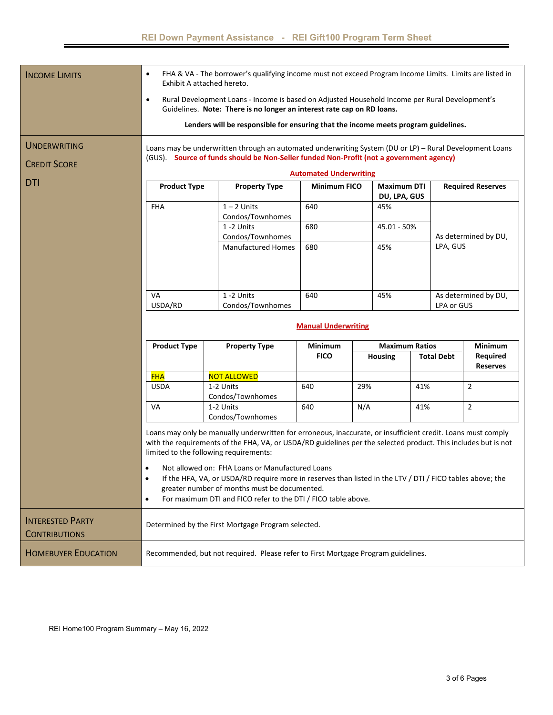| <b>INCOME LIMITS</b>                            | FHA & VA - The borrower's qualifying income must not exceed Program Income Limits. Limits are listed in<br>$\bullet$<br>Exhibit A attached hereto.                                                 |                                                                                                                                                                                                                                                                                                                                                                                                                                                                                                                                                           |                               |             |                          |                      |  |
|-------------------------------------------------|----------------------------------------------------------------------------------------------------------------------------------------------------------------------------------------------------|-----------------------------------------------------------------------------------------------------------------------------------------------------------------------------------------------------------------------------------------------------------------------------------------------------------------------------------------------------------------------------------------------------------------------------------------------------------------------------------------------------------------------------------------------------------|-------------------------------|-------------|--------------------------|----------------------|--|
|                                                 | Rural Development Loans - Income is based on Adjusted Household Income per Rural Development's<br>$\bullet$<br>Guidelines. Note: There is no longer an interest rate cap on RD loans.              |                                                                                                                                                                                                                                                                                                                                                                                                                                                                                                                                                           |                               |             |                          |                      |  |
|                                                 | Lenders will be responsible for ensuring that the income meets program guidelines.                                                                                                                 |                                                                                                                                                                                                                                                                                                                                                                                                                                                                                                                                                           |                               |             |                          |                      |  |
| UNDERWRITING                                    | Loans may be underwritten through an automated underwriting System (DU or LP) - Rural Development Loans<br>(GUS). Source of funds should be Non-Seller funded Non-Profit (not a government agency) |                                                                                                                                                                                                                                                                                                                                                                                                                                                                                                                                                           |                               |             |                          |                      |  |
| <b>CREDIT SCORE</b>                             | <b>Automated Underwriting</b>                                                                                                                                                                      |                                                                                                                                                                                                                                                                                                                                                                                                                                                                                                                                                           |                               |             |                          |                      |  |
| <b>DTI</b>                                      | <b>Maximum DTI</b><br><b>Product Type</b><br><b>Property Type</b><br><b>Minimum FICO</b>                                                                                                           |                                                                                                                                                                                                                                                                                                                                                                                                                                                                                                                                                           |                               |             | <b>Required Reserves</b> |                      |  |
|                                                 |                                                                                                                                                                                                    |                                                                                                                                                                                                                                                                                                                                                                                                                                                                                                                                                           | DU, LPA, GUS                  |             |                          |                      |  |
|                                                 | <b>FHA</b>                                                                                                                                                                                         | $1 - 2$ Units                                                                                                                                                                                                                                                                                                                                                                                                                                                                                                                                             | 640                           | 45%         |                          |                      |  |
|                                                 |                                                                                                                                                                                                    | Condos/Townhomes                                                                                                                                                                                                                                                                                                                                                                                                                                                                                                                                          |                               |             |                          |                      |  |
|                                                 |                                                                                                                                                                                                    | 1-2 Units                                                                                                                                                                                                                                                                                                                                                                                                                                                                                                                                                 | 680                           | 45.01 - 50% |                          |                      |  |
|                                                 |                                                                                                                                                                                                    | Condos/Townhomes                                                                                                                                                                                                                                                                                                                                                                                                                                                                                                                                          |                               |             |                          | As determined by DU, |  |
|                                                 |                                                                                                                                                                                                    | <b>Manufactured Homes</b>                                                                                                                                                                                                                                                                                                                                                                                                                                                                                                                                 | 680                           | 45%         | LPA, GUS                 |                      |  |
|                                                 |                                                                                                                                                                                                    |                                                                                                                                                                                                                                                                                                                                                                                                                                                                                                                                                           |                               |             |                          |                      |  |
|                                                 |                                                                                                                                                                                                    |                                                                                                                                                                                                                                                                                                                                                                                                                                                                                                                                                           |                               |             |                          |                      |  |
|                                                 | VA                                                                                                                                                                                                 | 1-2 Units                                                                                                                                                                                                                                                                                                                                                                                                                                                                                                                                                 | 640                           | 45%         |                          | As determined by DU, |  |
|                                                 | USDA/RD                                                                                                                                                                                            | Condos/Townhomes                                                                                                                                                                                                                                                                                                                                                                                                                                                                                                                                          |                               |             | LPA or GUS               |                      |  |
|                                                 | <b>Manual Underwriting</b><br><b>Maximum Ratios</b>                                                                                                                                                |                                                                                                                                                                                                                                                                                                                                                                                                                                                                                                                                                           |                               |             |                          | Minimum              |  |
|                                                 | <b>Product Type</b>                                                                                                                                                                                | <b>Property Type</b>                                                                                                                                                                                                                                                                                                                                                                                                                                                                                                                                      | <b>Minimum</b><br><b>FICO</b> | Housing     | <b>Total Debt</b>        | Required             |  |
|                                                 |                                                                                                                                                                                                    |                                                                                                                                                                                                                                                                                                                                                                                                                                                                                                                                                           |                               |             |                          | <b>Reserves</b>      |  |
|                                                 | <b>FHA</b>                                                                                                                                                                                         | <b>NOT ALLOWED</b>                                                                                                                                                                                                                                                                                                                                                                                                                                                                                                                                        |                               |             |                          |                      |  |
|                                                 |                                                                                                                                                                                                    |                                                                                                                                                                                                                                                                                                                                                                                                                                                                                                                                                           |                               |             |                          |                      |  |
|                                                 | <b>USDA</b>                                                                                                                                                                                        | 1-2 Units<br>Condos/Townhomes                                                                                                                                                                                                                                                                                                                                                                                                                                                                                                                             | 640                           | 29%         | 41%                      | $\overline{2}$       |  |
|                                                 | VA                                                                                                                                                                                                 | 1-2 Units<br>Condos/Townhomes                                                                                                                                                                                                                                                                                                                                                                                                                                                                                                                             | 640                           | N/A         | 41%                      | $\overline{2}$       |  |
|                                                 | $\bullet$<br>٠                                                                                                                                                                                     | Loans may only be manually underwritten for erroneous, inaccurate, or insufficient credit. Loans must comply<br>with the requirements of the FHA, VA, or USDA/RD guidelines per the selected product. This includes but is not<br>limited to the following requirements:<br>Not allowed on: FHA Loans or Manufactured Loans<br>If the HFA, VA, or USDA/RD require more in reserves than listed in the LTV / DTI / FICO tables above; the<br>greater number of months must be documented.<br>For maximum DTI and FICO refer to the DTI / FICO table above. |                               |             |                          |                      |  |
| <b>INTERESTED PARTY</b><br><b>CONTRIBUTIONS</b> |                                                                                                                                                                                                    | Determined by the First Mortgage Program selected.                                                                                                                                                                                                                                                                                                                                                                                                                                                                                                        |                               |             |                          |                      |  |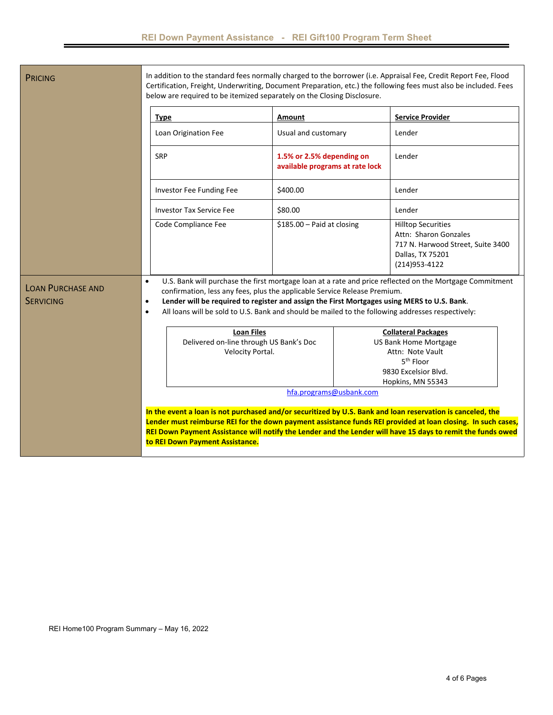|                                              | <b>Type</b>                                                                                                                                                                                          | Amount                                                       | <b>Service Provider</b>                                                                                                                                                                                                                                                                                                                                                                                                                  |
|----------------------------------------------|------------------------------------------------------------------------------------------------------------------------------------------------------------------------------------------------------|--------------------------------------------------------------|------------------------------------------------------------------------------------------------------------------------------------------------------------------------------------------------------------------------------------------------------------------------------------------------------------------------------------------------------------------------------------------------------------------------------------------|
|                                              | Loan Origination Fee                                                                                                                                                                                 | Usual and customary                                          | Lender                                                                                                                                                                                                                                                                                                                                                                                                                                   |
|                                              | <b>SRP</b>                                                                                                                                                                                           | 1.5% or 2.5% depending on<br>available programs at rate lock | Lender                                                                                                                                                                                                                                                                                                                                                                                                                                   |
|                                              | Investor Fee Funding Fee                                                                                                                                                                             | \$400.00                                                     | Lender                                                                                                                                                                                                                                                                                                                                                                                                                                   |
|                                              | <b>Investor Tax Service Fee</b>                                                                                                                                                                      | \$80.00                                                      | Lender                                                                                                                                                                                                                                                                                                                                                                                                                                   |
|                                              | Code Compliance Fee                                                                                                                                                                                  | \$185.00 - Paid at closing                                   | <b>Hilltop Securities</b><br>Attn: Sharon Gonzales<br>717 N. Harwood Street, Suite 3400<br>Dallas, TX 75201<br>(214) 953-4122                                                                                                                                                                                                                                                                                                            |
| <b>LOAN PURCHASE AND</b><br><b>SERVICING</b> | $\bullet$<br>confirmation, less any fees, plus the applicable Service Release Premium.<br>$\bullet$<br>$\bullet$<br><b>Loan Files</b><br>Delivered on-line through US Bank's Doc<br>Velocity Portal. |                                                              | U.S. Bank will purchase the first mortgage loan at a rate and price reflected on the Mortgage Commitment<br>Lender will be required to register and assign the First Mortgages using MERS to U.S. Bank.<br>All loans will be sold to U.S. Bank and should be mailed to the following addresses respectively:<br><b>Collateral Packages</b><br>US Bank Home Mortgage<br>Attn: Note Vault<br>5 <sup>th</sup> Floor<br>9830 Excelsior Blvd. |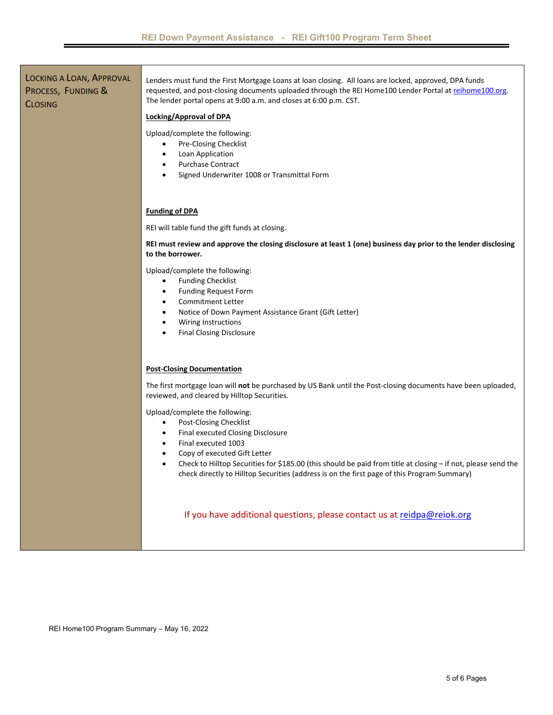LOCKING A LOAN, APPROVAL PROCESS, FUNDING & **CLOSING** Lenders must fund the First Mortgage Loans at loan closing. All loans are locked, approved, DPA funds requested, and post-closing documents uploaded through the REI Home100 Lender Portal at reihome100.org. The lender portal opens at 9:00 a.m. and closes at 6:00 p.m. CST. **Locking/Approval of DPA**  Upload/complete the following: Pre‐Closing Checklist Loan Application Purchase Contract Signed Underwriter 1008 or Transmittal Form **Funding of DPA**  REI will table fund the gift funds at closing. **REI must review and approve the closing disclosure at least 1 (one) business day prior to the lender disclosing**  to the borrower. Upload/complete the following: Funding Checklist Funding Request Form Commitment Letter Notice of Down Payment Assistance Grant (Gift Letter) Wiring Instructions Final Closing Disclosure **Post‐Closing Documentation**  The first mortgage loan will **not** be purchased by US Bank until the Post‐closing documents have been uploaded, reviewed, and cleared by Hilltop Securities. Upload/complete the following: Post‐Closing Checklist Final executed Closing Disclosure Final executed 1003 Copy of executed Gift Letter Check to Hilltop Securities for \$185.00 (this should be paid from title at closing – if not, please send the check directly to Hilltop Securities (address is on the first page of this Program Summary) If you have additional questions, please contact us at reidpa@reiok.org